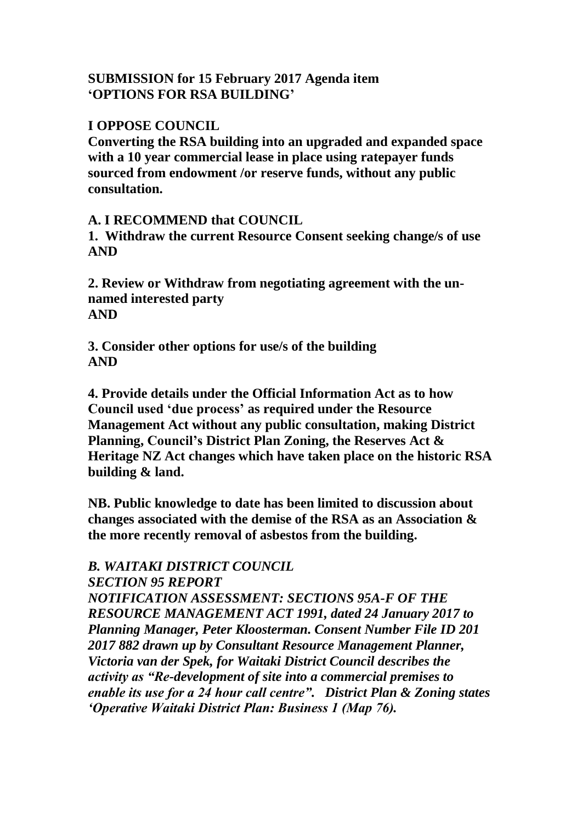#### **SUBMISSION for 15 February 2017 Agenda item 'OPTIONS FOR RSA BUILDING'**

#### **I OPPOSE COUNCIL**

**Converting the RSA building into an upgraded and expanded space with a 10 year commercial lease in place using ratepayer funds sourced from endowment /or reserve funds, without any public consultation.**

## **A. I RECOMMEND that COUNCIL**

**1. Withdraw the current Resource Consent seeking change/s of use AND**

**2. Review or Withdraw from negotiating agreement with the unnamed interested party AND**

**3. Consider other options for use/s of the building AND**

**4. Provide details under the Official Information Act as to how Council used 'due process' as required under the Resource Management Act without any public consultation, making District Planning, Council's District Plan Zoning, the Reserves Act & Heritage NZ Act changes which have taken place on the historic RSA building & land.**

**NB. Public knowledge to date has been limited to discussion about changes associated with the demise of the RSA as an Association & the more recently removal of asbestos from the building.**

# *B. WAITAKI DISTRICT COUNCIL*

*SECTION 95 REPORT* 

*NOTIFICATION ASSESSMENT: SECTIONS 95A-F OF THE RESOURCE MANAGEMENT ACT 1991, dated 24 January 2017 to Planning Manager, Peter Kloosterman. Consent Number File ID 201 2017 882 drawn up by Consultant Resource Management Planner, Victoria van der Spek, for Waitaki District Council describes the activity as "Re-development of site into a commercial premises to enable its use for a 24 hour call centre". District Plan & Zoning states 'Operative Waitaki District Plan: Business 1 (Map 76).*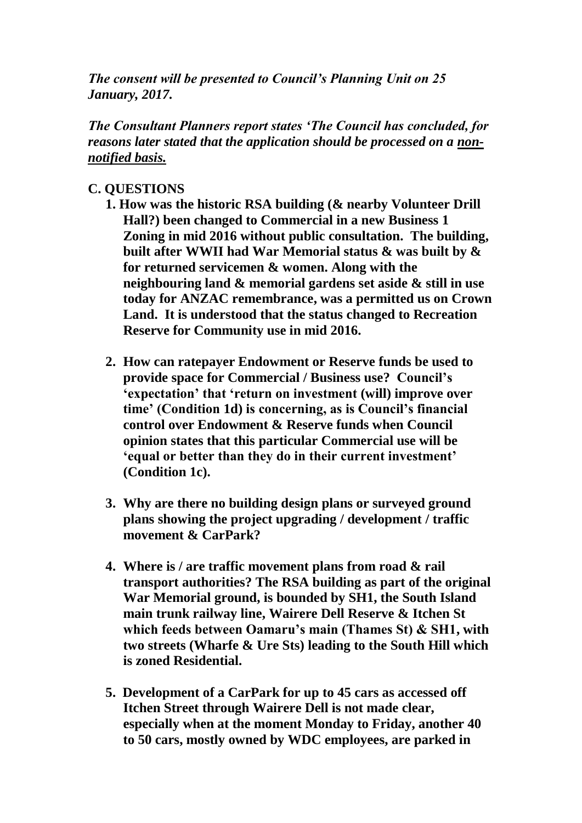*The consent will be presented to Council's Planning Unit on 25 January, 2017.* 

*The Consultant Planners report states 'The Council has concluded, for reasons later stated that the application should be processed on a nonnotified basis.*

### **C. QUESTIONS**

- **1. How was the historic RSA building (& nearby Volunteer Drill Hall?) been changed to Commercial in a new Business 1 Zoning in mid 2016 without public consultation. The building, built after WWII had War Memorial status & was built by & for returned servicemen & women. Along with the neighbouring land & memorial gardens set aside & still in use today for ANZAC remembrance, was a permitted us on Crown Land. It is understood that the status changed to Recreation Reserve for Community use in mid 2016.**
- **2. How can ratepayer Endowment or Reserve funds be used to provide space for Commercial / Business use? Council's 'expectation' that 'return on investment (will) improve over time' (Condition 1d) is concerning, as is Council's financial control over Endowment & Reserve funds when Council opinion states that this particular Commercial use will be 'equal or better than they do in their current investment' (Condition 1c).**
- **3. Why are there no building design plans or surveyed ground plans showing the project upgrading / development / traffic movement & CarPark?**
- **4. Where is / are traffic movement plans from road & rail transport authorities? The RSA building as part of the original War Memorial ground, is bounded by SH1, the South Island main trunk railway line, Wairere Dell Reserve & Itchen St which feeds between Oamaru's main (Thames St) & SH1, with two streets (Wharfe & Ure Sts) leading to the South Hill which is zoned Residential.**
- **5. Development of a CarPark for up to 45 cars as accessed off Itchen Street through Wairere Dell is not made clear, especially when at the moment Monday to Friday, another 40 to 50 cars, mostly owned by WDC employees, are parked in**